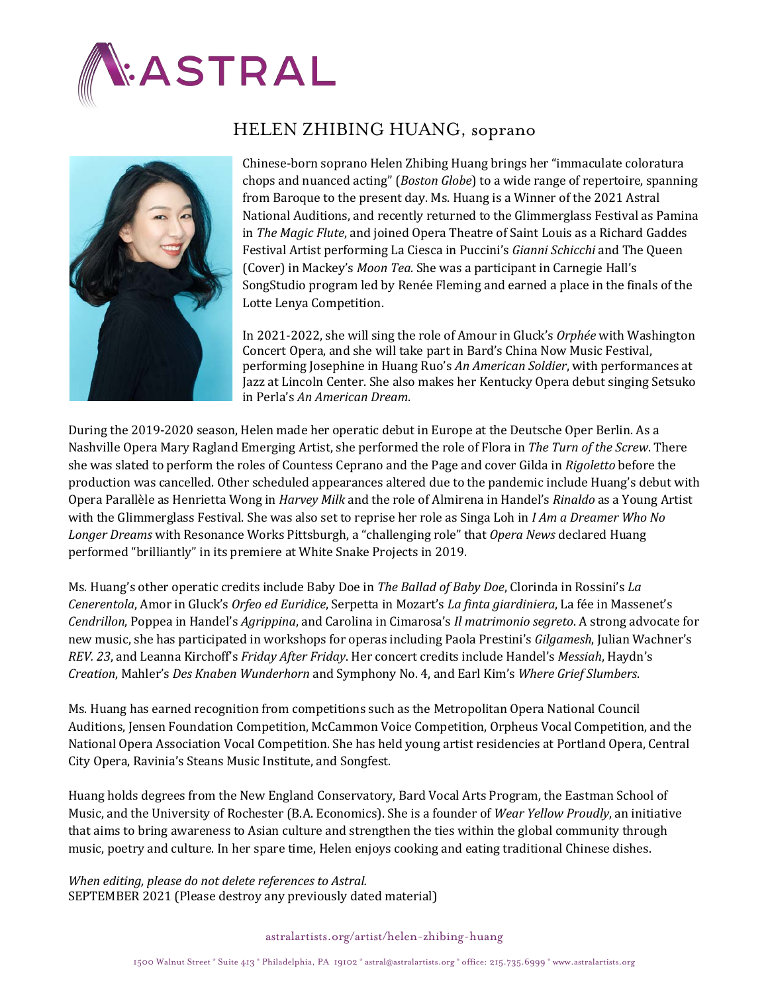



## HELEN ZHIBING HUANG, soprano

Chinese-born soprano Helen Zhibing Huang brings her "immaculate coloratura chops and nuanced acting" (*Boston Globe*) to a wide range of repertoire, spanning from Baroque to the present day. Ms. Huang is a Winner of the 2021 Astral National Auditions, and recently returned to the Glimmerglass Festival as Pamina in The Magic Flute, and joined Opera Theatre of Saint Louis as a Richard Gaddes Festival Artist performing La Ciesca in Puccini's *Gianni Schicchi* and The Queen (Cover) in Mackey's *Moon Tea.* She was a participant in Carnegie Hall's SongStudio program led by Renée Fleming and earned a place in the finals of the Lotte Lenya Competition.

In 2021-2022, she will sing the role of Amour in Gluck's *Orphée* with Washington Concert Opera, and she will take part in Bard's China Now Music Festival, performing Josephine in Huang Ruo's *An American Soldier*, with performances at Jazz at Lincoln Center. She also makes her Kentucky Opera debut singing Setsuko in Perla's *An American Dream*. 

During the 2019-2020 season, Helen made her operatic debut in Europe at the Deutsche Oper Berlin. As a Nashville Opera Mary Ragland Emerging Artist, she performed the role of Flora in The Turn of the Screw. There she was slated to perform the roles of Countess Ceprano and the Page and cover Gilda in *Rigoletto* before the production was cancelled. Other scheduled appearances altered due to the pandemic include Huang's debut with Opera Parallèle as Henrietta Wong in *Harvey Milk* and the role of Almirena in Handel's *Rinaldo* as a Young Artist with the Glimmerglass Festival. She was also set to reprise her role as Singa Loh in *I Am a Dreamer Who No* Longer Dreams with Resonance Works Pittsburgh, a "challenging role" that Opera News declared Huang performed "brilliantly" in its premiere at White Snake Projects in 2019.

Ms. Huang's other operatic credits include Baby Doe in *The Ballad of Baby Doe*, Clorinda in Rossini's *La Cenerentola*, Amor in Gluck's *Orfeo ed Euridice*, Serpetta in Mozart's La finta giardiniera, La fée in Massenet's *Cendrillon*, Poppea in Handel's *Agrippina*, and Carolina in Cimarosa's *Il matrimonio segreto*. A strong advocate for new music, she has participated in workshops for operas including Paola Prestini's *Gilgamesh*, Julian Wachner's *REV. 23*, and Leanna Kirchoff's *Friday After Friday*. Her concert credits include Handel's *Messiah*, Haydn's *Creation*, Mahler's *Des Knaben Wunderhorn* and Symphony No. 4, and Earl Kim's *Where Grief Slumbers*.

Ms. Huang has earned recognition from competitions such as the Metropolitan Opera National Council Auditions, Jensen Foundation Competition, McCammon Voice Competition, Orpheus Vocal Competition, and the National Opera Association Vocal Competition. She has held young artist residencies at Portland Opera, Central City Opera, Ravinia's Steans Music Institute, and Songfest.

Huang holds degrees from the New England Conservatory, Bard Vocal Arts Program, the Eastman School of Music, and the University of Rochester (B.A. Economics). She is a founder of *Wear Yellow Proudly*, an initiative that aims to bring awareness to Asian culture and strengthen the ties within the global community through music, poetry and culture. In her spare time, Helen enjoys cooking and eating traditional Chinese dishes.

*When editing, please do not delete references to Astral.* SEPTEMBER 2021 (Please destroy any previously dated material)